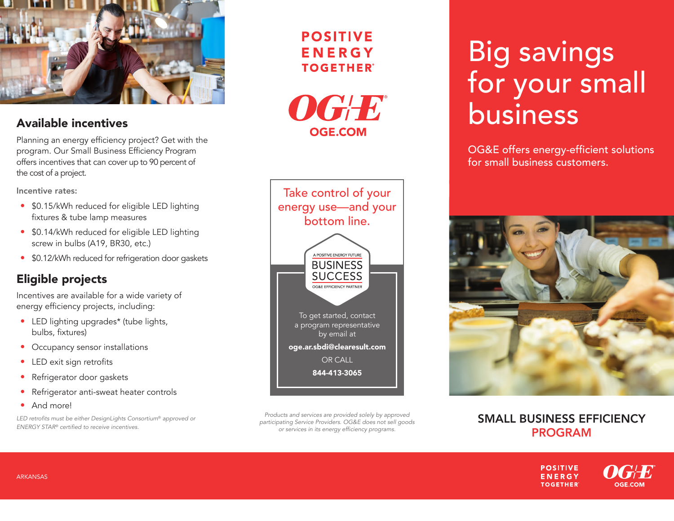

Planning an energy efficiency project? Get with the program. Our Small Business Efficiency Program offers incentives that can cover up to 90 percent of the cost of a project.

Incentive rates:

- \$0.15/kWh reduced for eligible LED lighting fixtures & tube lamp measures
- \$0.14/kWh reduced for eligible LED lighting screw in bulbs (A19, BR30, etc.)
- \$0.12/kWh reduced for refrigeration door gaskets

#### Eligible projects

Incentives are available for a wide variety of energy efficiency projects, including:

- LED lighting upgrades\* (tube lights, bulbs, fixtures)
- Occupancy sensor installations
- LED exit sign retrofits
- Refrigerator door gaskets
- Refrigerator anti-sweat heater controls
- And more!

LED retrofits must be either DesignLights Consortium® *approved or ENERGY STAR®* certified to receive incentives.

#### **POSITIVE** ENERGY **TOGETHER**



Products and services are provided solely by approved participating Service Providers. OG&E does not sell goods or services in its energy efficiency programs.

# Big savings for your small Available incentives business business

OG&E offers energy-efficient solutions for small business customers.



#### SMALL BUSINESS EFFICIENCY PROGRAM